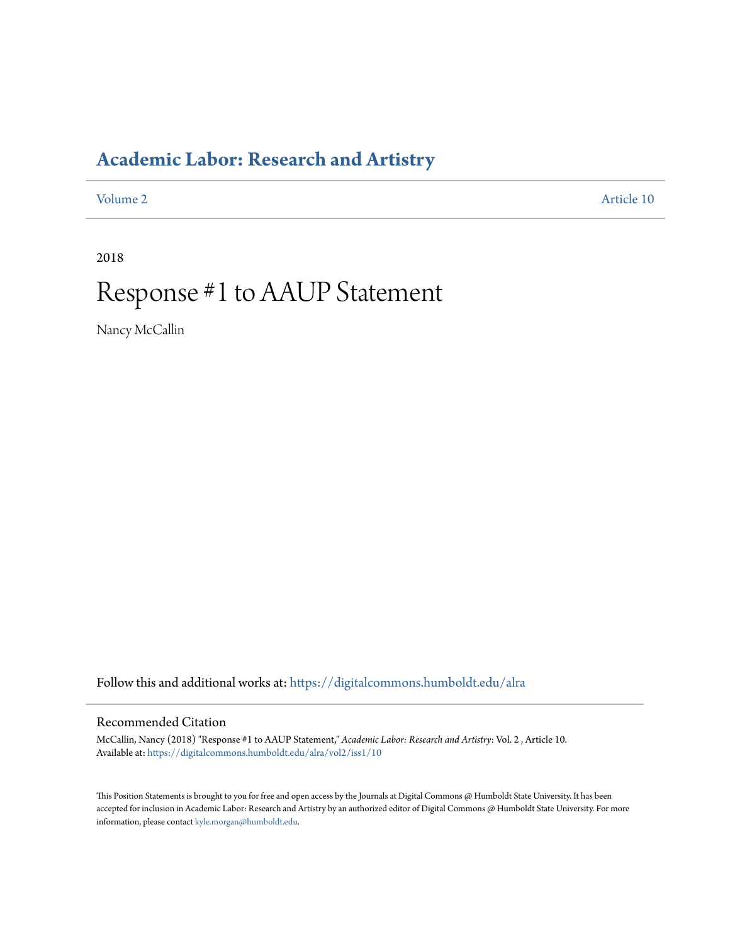### **[Academic Labor: Research and Artistry](https://digitalcommons.humboldt.edu/alra?utm_source=digitalcommons.humboldt.edu%2Falra%2Fvol2%2Fiss1%2F10&utm_medium=PDF&utm_campaign=PDFCoverPages)**

[Volume 2](https://digitalcommons.humboldt.edu/alra/vol2?utm_source=digitalcommons.humboldt.edu%2Falra%2Fvol2%2Fiss1%2F10&utm_medium=PDF&utm_campaign=PDFCoverPages) [Article 10](https://digitalcommons.humboldt.edu/alra/vol2/iss1/10?utm_source=digitalcommons.humboldt.edu%2Falra%2Fvol2%2Fiss1%2F10&utm_medium=PDF&utm_campaign=PDFCoverPages)

2018

# Response #1 to AAUP Statement

Nancy McCallin

Follow this and additional works at: [https://digitalcommons.humboldt.edu/alra](https://digitalcommons.humboldt.edu/alra?utm_source=digitalcommons.humboldt.edu%2Falra%2Fvol2%2Fiss1%2F10&utm_medium=PDF&utm_campaign=PDFCoverPages)

### Recommended Citation

McCallin, Nancy (2018) "Response #1 to AAUP Statement," *Academic Labor: Research and Artistry*: Vol. 2 , Article 10. Available at: [https://digitalcommons.humboldt.edu/alra/vol2/iss1/10](https://digitalcommons.humboldt.edu/alra/vol2/iss1/10?utm_source=digitalcommons.humboldt.edu%2Falra%2Fvol2%2Fiss1%2F10&utm_medium=PDF&utm_campaign=PDFCoverPages)

This Position Statements is brought to you for free and open access by the Journals at Digital Commons @ Humboldt State University. It has been accepted for inclusion in Academic Labor: Research and Artistry by an authorized editor of Digital Commons @ Humboldt State University. For more information, please contact [kyle.morgan@humboldt.edu.](mailto:kyle.morgan@humboldt.edu)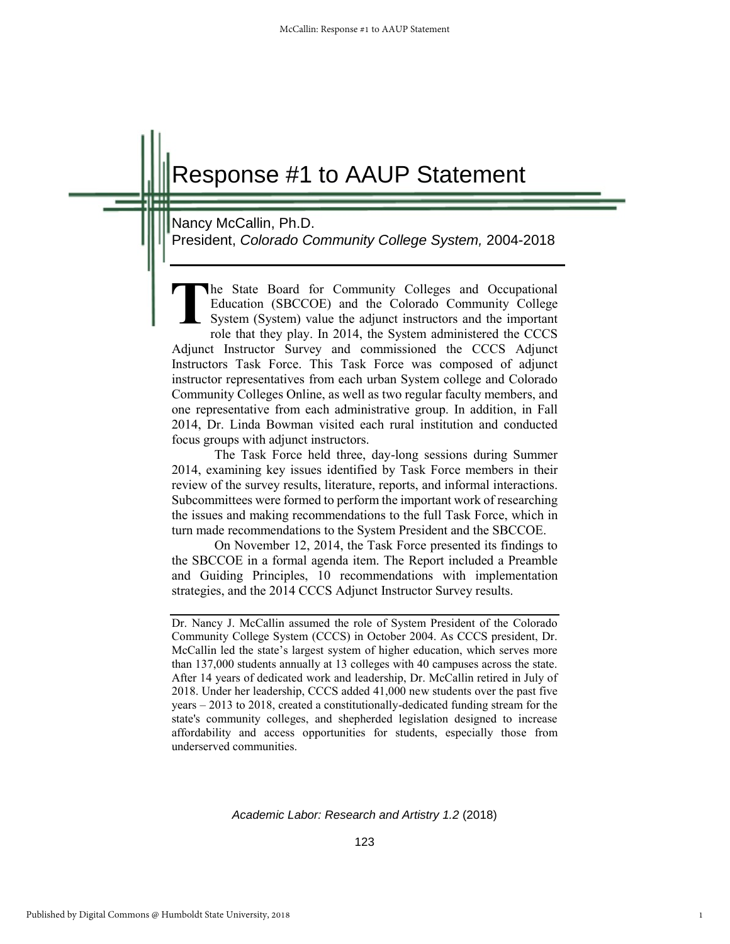## Response #1 to AAUP Statement

Nancy McCallin, Ph.D.

President, *Colorado Community College System,* 2004-2018

he State Board for Community Colleges and Occupational Education (SBCCOE) and the Colorado Community College System (System) value the adjunct instructors and the important role that they play. In 2014, the System administered the CCCS Adjunct Instructor Survey and commissioned the CCCS Adjunct Instructors Task Force. This Task Force was composed of adjunct instructor representatives from each urban System college and Colorado Community Colleges Online, as well as two regular faculty members, and one representative from each administrative group. In addition, in Fall 2014, Dr. Linda Bowman visited each rural institution and conducted focus groups with adjunct instructors. **T**

The Task Force held three, day-long sessions during Summer 2014, examining key issues identified by Task Force members in their review of the survey results, literature, reports, and informal interactions. Subcommittees were formed to perform the important work of researching the issues and making recommendations to the full Task Force, which in turn made recommendations to the System President and the SBCCOE.

On November 12, 2014, the Task Force presented its findings to the SBCCOE in a formal agenda item. The Report included a Preamble and Guiding Principles, 10 recommendations with implementation strategies, and the 2014 CCCS Adjunct Instructor Survey results.

*Academic Labor: Research and Artistry 1.2* (2018)

1

Dr. Nancy J. McCallin assumed the role of System President of the Colorado Community College System (CCCS) in October 2004. As CCCS president, Dr. McCallin led the state's largest system of higher education, which serves more than 137,000 students annually at 13 colleges with 40 campuses across the state. After 14 years of dedicated work and leadership, Dr. McCallin retired in July of 2018. Under her leadership, CCCS added 41,000 new students over the past five years – 2013 to 2018, created a constitutionally-dedicated funding stream for the state's community colleges, and shepherded legislation designed to increase affordability and access opportunities for students, especially those from underserved communities.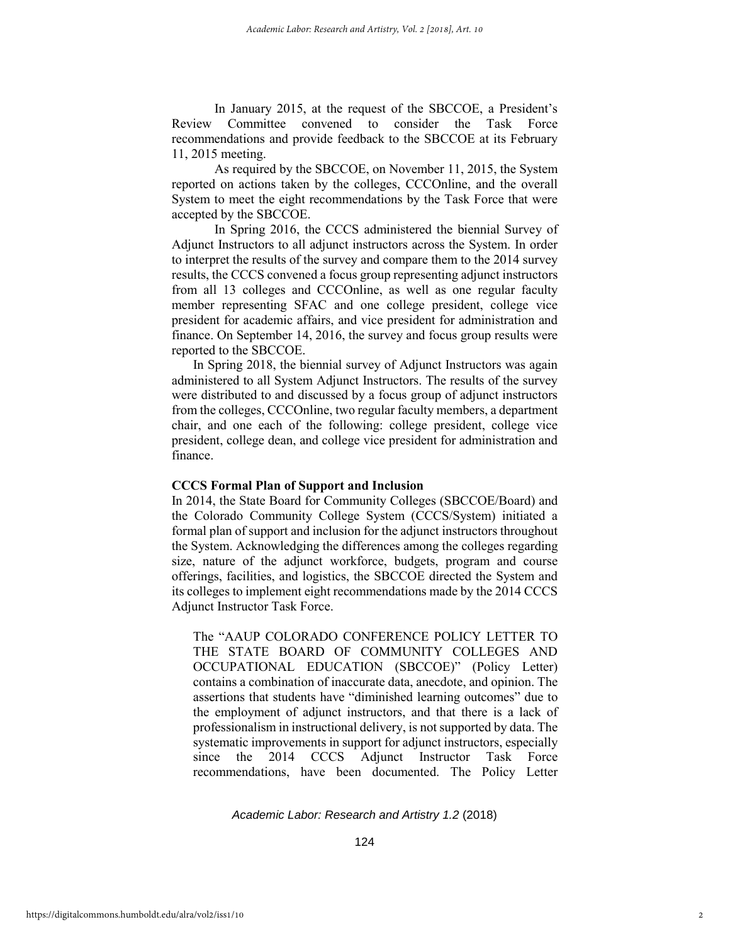In January 2015, at the request of the SBCCOE, a President's Review Committee convened to consider the Task Force recommendations and provide feedback to the SBCCOE at its February 11, 2015 meeting.

As required by the SBCCOE, on November 11, 2015, the System reported on actions taken by the colleges, CCCOnline, and the overall System to meet the eight recommendations by the Task Force that were accepted by the SBCCOE.

In Spring 2016, the CCCS administered the biennial Survey of Adjunct Instructors to all adjunct instructors across the System. In order to interpret the results of the survey and compare them to the 2014 survey results, the CCCS convened a focus group representing adjunct instructors from all 13 colleges and CCCOnline, as well as one regular faculty member representing SFAC and one college president, college vice president for academic affairs, and vice president for administration and finance. On September 14, 2016, the survey and focus group results were reported to the SBCCOE.

In Spring 2018, the biennial survey of Adjunct Instructors was again administered to all System Adjunct Instructors. The results of the survey were distributed to and discussed by a focus group of adjunct instructors from the colleges, CCCOnline, two regular faculty members, a department chair, and one each of the following: college president, college vice president, college dean, and college vice president for administration and finance.

#### **CCCS Formal Plan of Support and Inclusion**

In 2014, the State Board for Community Colleges (SBCCOE/Board) and the Colorado Community College System (CCCS/System) initiated a formal plan of support and inclusion for the adjunct instructors throughout the System. Acknowledging the differences among the colleges regarding size, nature of the adjunct workforce, budgets, program and course offerings, facilities, and logistics, the SBCCOE directed the System and its colleges to implement eight recommendations made by the 2014 CCCS Adjunct Instructor Task Force.

The "AAUP COLORADO CONFERENCE POLICY LETTER TO THE STATE BOARD OF COMMUNITY COLLEGES AND OCCUPATIONAL EDUCATION (SBCCOE)" (Policy Letter) contains a combination of inaccurate data, anecdote, and opinion. The assertions that students have "diminished learning outcomes" due to the employment of adjunct instructors, and that there is a lack of professionalism in instructional delivery, is not supported by data. The systematic improvements in support for adjunct instructors, especially since the 2014 CCCS Adjunct Instructor Task Force recommendations, have been documented. The Policy Letter

*Academic Labor: Research and Artistry 1.2* (2018)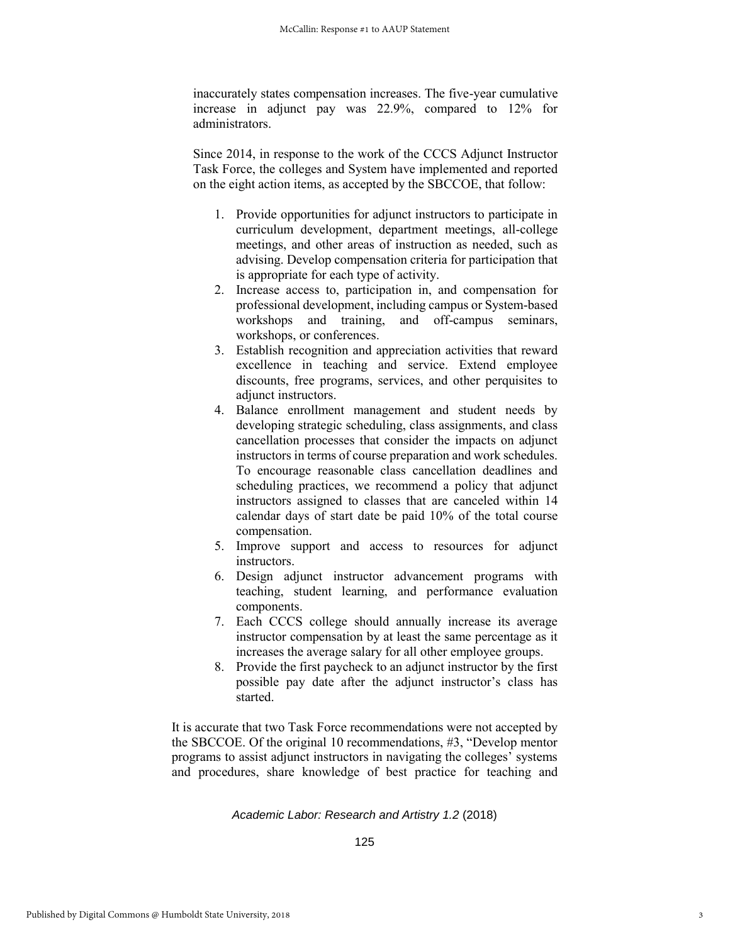inaccurately states compensation increases. The five-year cumulative increase in adjunct pay was 22.9%, compared to 12% for administrators.

Since 2014, in response to the work of the CCCS Adjunct Instructor Task Force, the colleges and System have implemented and reported on the eight action items, as accepted by the SBCCOE, that follow:

- 1. Provide opportunities for adjunct instructors to participate in curriculum development, department meetings, all-college meetings, and other areas of instruction as needed, such as advising. Develop compensation criteria for participation that is appropriate for each type of activity.
- 2. Increase access to, participation in, and compensation for professional development, including campus or System-based workshops and training, and off-campus seminars, workshops, or conferences.
- 3. Establish recognition and appreciation activities that reward excellence in teaching and service. Extend employee discounts, free programs, services, and other perquisites to adjunct instructors.
- 4. Balance enrollment management and student needs by developing strategic scheduling, class assignments, and class cancellation processes that consider the impacts on adjunct instructors in terms of course preparation and work schedules. To encourage reasonable class cancellation deadlines and scheduling practices, we recommend a policy that adjunct instructors assigned to classes that are canceled within 14 calendar days of start date be paid 10% of the total course compensation.
- 5. Improve support and access to resources for adjunct instructors.
- 6. Design adjunct instructor advancement programs with teaching, student learning, and performance evaluation components.
- 7. Each CCCS college should annually increase its average instructor compensation by at least the same percentage as it increases the average salary for all other employee groups.
- 8. Provide the first paycheck to an adjunct instructor by the first possible pay date after the adjunct instructor's class has started.

It is accurate that two Task Force recommendations were not accepted by the SBCCOE. Of the original 10 recommendations, #3, "Develop mentor programs to assist adjunct instructors in navigating the colleges' systems and procedures, share knowledge of best practice for teaching and

#### *Academic Labor: Research and Artistry 1.2* (2018)